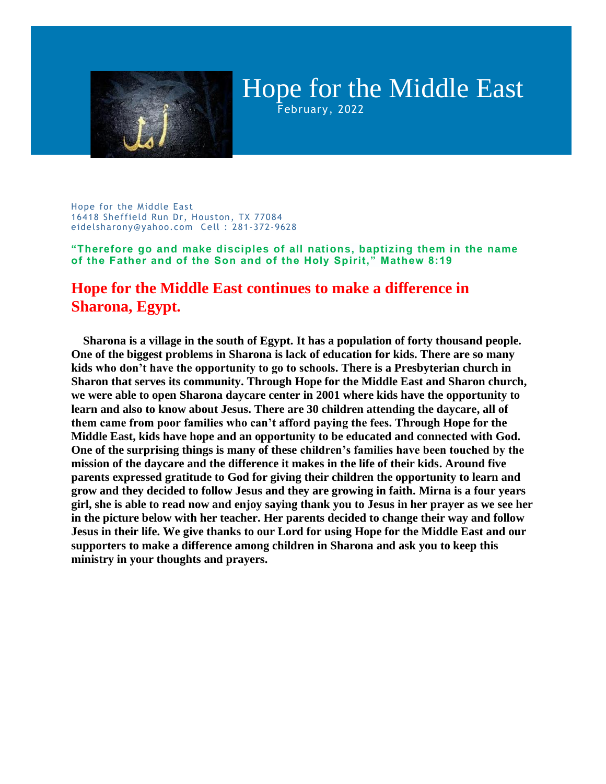

# Hope for the Middle East

February, 2022

Hope for the Middle East 16418 Sheffield Run Dr, Houston, TX 77084 eidelsharony@yahoo.com Cell : 281-372-9628

**"Therefore go and make disciples of all nations, baptizing them in the name of the Father and of the Son and of the Holy Spirit," Mathew 8:19** 

## **Hope for the Middle East continues to make a difference in Sharona, Egypt.**

 **Sharona is a village in the south of Egypt. It has a population of forty thousand people. One of the biggest problems in Sharona is lack of education for kids. There are so many kids who don't have the opportunity to go to schools. There is a Presbyterian church in Sharon that serves its community. Through Hope for the Middle East and Sharon church, we were able to open Sharona daycare center in 2001 where kids have the opportunity to learn and also to know about Jesus. There are 30 children attending the daycare, all of them came from poor families who can't afford paying the fees. Through Hope for the Middle East, kids have hope and an opportunity to be educated and connected with God. One of the surprising things is many of these children's families have been touched by the mission of the daycare and the difference it makes in the life of their kids. Around five parents expressed gratitude to God for giving their children the opportunity to learn and grow and they decided to follow Jesus and they are growing in faith. Mirna is a four years girl, she is able to read now and enjoy saying thank you to Jesus in her prayer as we see her in the picture below with her teacher. Her parents decided to change their way and follow Jesus in their life. We give thanks to our Lord for using Hope for the Middle East and our supporters to make a difference among children in Sharona and ask you to keep this ministry in your thoughts and prayers.**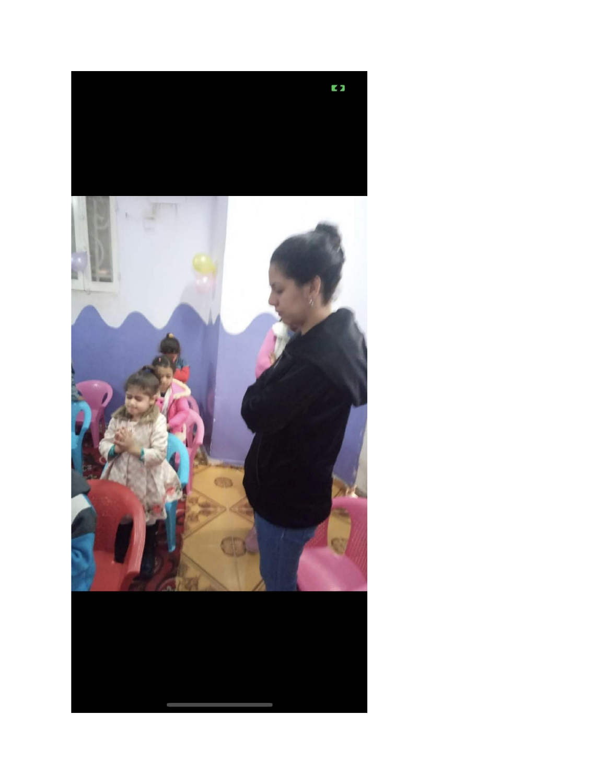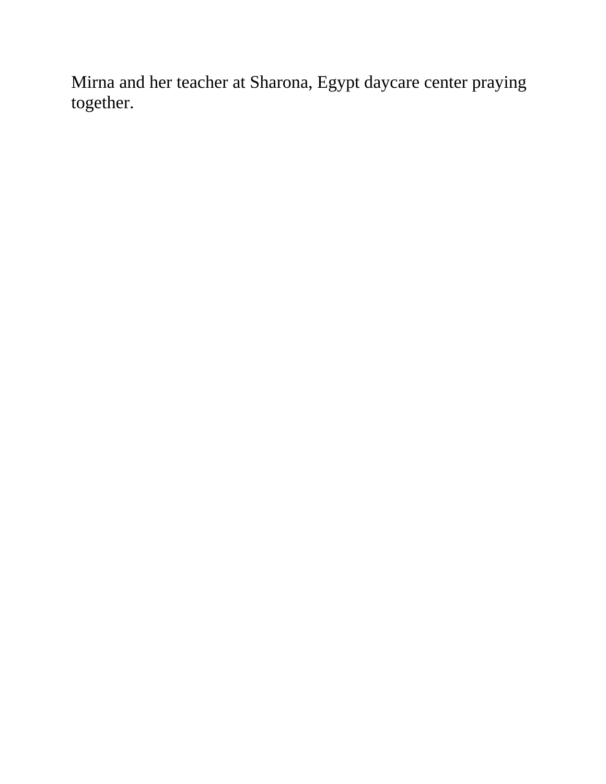Mirna and her teacher at Sharona, Egypt daycare center praying together.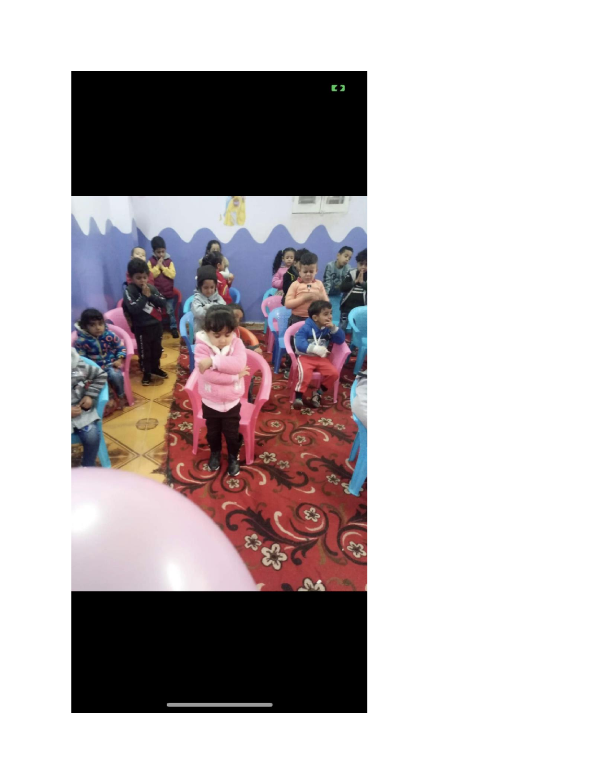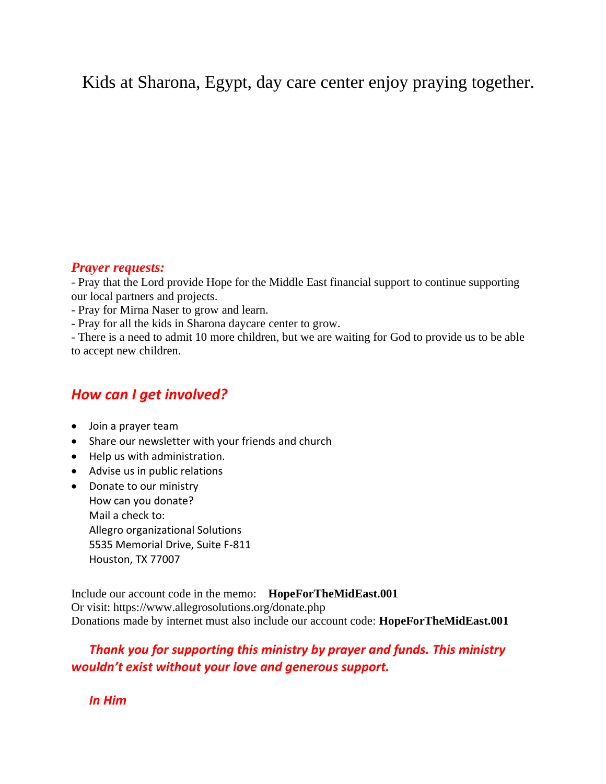# Kids at Sharona, Egypt, day care center enjoy praying together.

#### *Prayer requests:*

- Pray that the Lord provide Hope for the Middle East financial support to continue supporting our local partners and projects.

- Pray for Mirna Naser to grow and learn.

- Pray for all the kids in Sharona daycare center to grow.

- There is a need to admit 10 more children, but we are waiting for God to provide us to be able to accept new children.

### *How can I get involved?*

- Join a prayer team
- Share our newsletter with your friends and church
- Help us with administration.
- Advise us in public relations
- Donate to our ministry How can you donate? Mail a check to: Allegro organizational Solutions 5535 Memorial Drive, Suite F-811 Houston, TX 77007

Include our account code in the memo: **HopeForTheMidEast.001** Or visit:<https://www.allegrosolutions.org/donate.php> Donations made by internet must also include our account code: **HopeForTheMidEast.001**

*Thank you for supporting this ministry by prayer and funds. This ministry wouldn't exist without your love and generous support.*

*In Him*